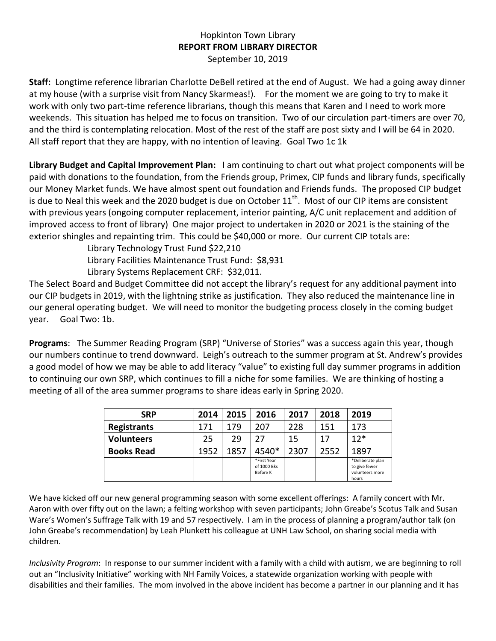## Hopkinton Town Library **REPORT FROM LIBRARY DIRECTOR** September 10, 2019

**Staff:** Longtime reference librarian Charlotte DeBell retired at the end of August. We had a going away dinner at my house (with a surprise visit from Nancy Skarmeas!). For the moment we are going to try to make it work with only two part-time reference librarians, though this means that Karen and I need to work more weekends. This situation has helped me to focus on transition. Two of our circulation part-timers are over 70, and the third is contemplating relocation. Most of the rest of the staff are post sixty and I will be 64 in 2020. All staff report that they are happy, with no intention of leaving. Goal Two 1c 1k

**Library Budget and Capital Improvement Plan:** I am continuing to chart out what project components will be paid with donations to the foundation, from the Friends group, Primex, CIP funds and library funds, specifically our Money Market funds. We have almost spent out foundation and Friends funds. The proposed CIP budget is due to Neal this week and the 2020 budget is due on October  $11<sup>th</sup>$ . Most of our CIP items are consistent with previous years (ongoing computer replacement, interior painting, A/C unit replacement and addition of improved access to front of library) One major project to undertaken in 2020 or 2021 is the staining of the exterior shingles and repainting trim. This could be \$40,000 or more. Our current CIP totals are:

> Library Technology Trust Fund \$22,210 Library Facilities Maintenance Trust Fund: \$8,931 Library Systems Replacement CRF: \$32,011.

The Select Board and Budget Committee did not accept the library's request for any additional payment into our CIP budgets in 2019, with the lightning strike as justification. They also reduced the maintenance line in our general operating budget. We will need to monitor the budgeting process closely in the coming budget year. Goal Two: 1b.

**Programs**: The Summer Reading Program (SRP) "Universe of Stories" was a success again this year, though our numbers continue to trend downward. Leigh's outreach to the summer program at St. Andrew's provides a good model of how we may be able to add literacy "value" to existing full day summer programs in addition to continuing our own SRP, which continues to fill a niche for some families. We are thinking of hosting a meeting of all of the area summer programs to share ideas early in Spring 2020.

| <b>SRP</b>         | 2014 | 2015 | 2016                                   | 2017 | 2018 | 2019                                                          |
|--------------------|------|------|----------------------------------------|------|------|---------------------------------------------------------------|
| <b>Registrants</b> | 171  | 179  | 207                                    | 228  | 151  | 173                                                           |
| <b>Volunteers</b>  | 25   | 29   | 27                                     | 15   | 17   | $12*$                                                         |
| <b>Books Read</b>  | 1952 | 1857 | 4540*                                  | 2307 | 2552 | 1897                                                          |
|                    |      |      | *First Year<br>of 1000 Bks<br>Before K |      |      | *Deliberate plan<br>to give fewer<br>volunteers more<br>hours |

We have kicked off our new general programming season with some excellent offerings: A family concert with Mr. Aaron with over fifty out on the lawn; a felting workshop with seven participants; John Greabe's Scotus Talk and Susan Ware's Women's Suffrage Talk with 19 and 57 respectively. I am in the process of planning a program/author talk (on John Greabe's recommendation) by Leah Plunkett his colleague at UNH Law School, on sharing social media with children.

*Inclusivity Program*: In response to our summer incident with a family with a child with autism, we are beginning to roll out an "Inclusivity Initiative" working with NH Family Voices, a statewide organization working with people with disabilities and their families. The mom involved in the above incident has become a partner in our planning and it has